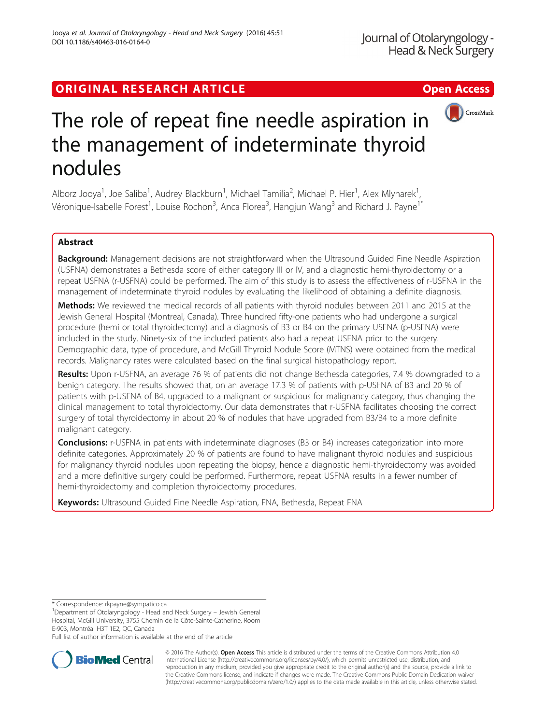# ORIGINAL RESEARCH ARTICLE **External of the Contract Contract Contract Contract Contract Contract Contract Contract Contract Contract Contract Contract Contract Contract Contract Contract Contract Contract Contract Contract**



# The role of repeat fine needle aspiration in the management of indeterminate thyroid nodules

Alborz Jooya<sup>1</sup>, Joe Saliba<sup>1</sup>, Audrey Blackburn<sup>1</sup>, Michael Tamilia<sup>2</sup>, Michael P. Hier<sup>1</sup>, Alex Mlynarek<sup>1</sup> , Véronique-Isabelle Forest<sup>1</sup>, Louise Rochon<sup>3</sup>, Anca Florea<sup>3</sup>, Hangjun Wang<sup>3</sup> and Richard J. Payne<sup>1\*</sup>

# Abstract

Background: Management decisions are not straightforward when the Ultrasound Guided Fine Needle Aspiration (USFNA) demonstrates a Bethesda score of either category III or IV, and a diagnostic hemi-thyroidectomy or a repeat USFNA (r-USFNA) could be performed. The aim of this study is to assess the effectiveness of r-USFNA in the management of indeterminate thyroid nodules by evaluating the likelihood of obtaining a definite diagnosis.

Methods: We reviewed the medical records of all patients with thyroid nodules between 2011 and 2015 at the Jewish General Hospital (Montreal, Canada). Three hundred fifty-one patients who had undergone a surgical procedure (hemi or total thyroidectomy) and a diagnosis of B3 or B4 on the primary USFNA (p-USFNA) were included in the study. Ninety-six of the included patients also had a repeat USFNA prior to the surgery. Demographic data, type of procedure, and McGill Thyroid Nodule Score (MTNS) were obtained from the medical records. Malignancy rates were calculated based on the final surgical histopathology report.

Results: Upon r-USFNA, an average 76 % of patients did not change Bethesda categories, 7.4 % downgraded to a benign category. The results showed that, on an average 17.3 % of patients with p-USFNA of B3 and 20 % of patients with p-USFNA of B4, upgraded to a malignant or suspicious for malignancy category, thus changing the clinical management to total thyroidectomy. Our data demonstrates that r-USFNA facilitates choosing the correct surgery of total thyroidectomy in about 20 % of nodules that have upgraded from B3/B4 to a more definite malignant category.

**Conclusions:** r-USFNA in patients with indeterminate diagnoses (B3 or B4) increases categorization into more definite categories. Approximately 20 % of patients are found to have malignant thyroid nodules and suspicious for malignancy thyroid nodules upon repeating the biopsy, hence a diagnostic hemi-thyroidectomy was avoided and a more definitive surgery could be performed. Furthermore, repeat USFNA results in a fewer number of hemi-thyroidectomy and completion thyroidectomy procedures.

Keywords: Ultrasound Guided Fine Needle Aspiration, FNA, Bethesda, Repeat FNA

\* Correspondence: [rkpayne@sympatico.ca](mailto:rkpayne@sympatico.ca) <sup>1</sup>

<sup>1</sup>Department of Otolaryngology - Head and Neck Surgery - Jewish General Hospital, McGill University, 3755 Chemin de la Côte-Sainte-Catherine, Room E-903, Montréal H3T 1E2, QC, Canada

Full list of author information is available at the end of the article



© 2016 The Author(s). Open Access This article is distributed under the terms of the Creative Commons Attribution 4.0 International License [\(http://creativecommons.org/licenses/by/4.0/](http://creativecommons.org/licenses/by/4.0/)), which permits unrestricted use, distribution, and reproduction in any medium, provided you give appropriate credit to the original author(s) and the source, provide a link to the Creative Commons license, and indicate if changes were made. The Creative Commons Public Domain Dedication waiver [\(http://creativecommons.org/publicdomain/zero/1.0/](http://creativecommons.org/publicdomain/zero/1.0/)) applies to the data made available in this article, unless otherwise stated.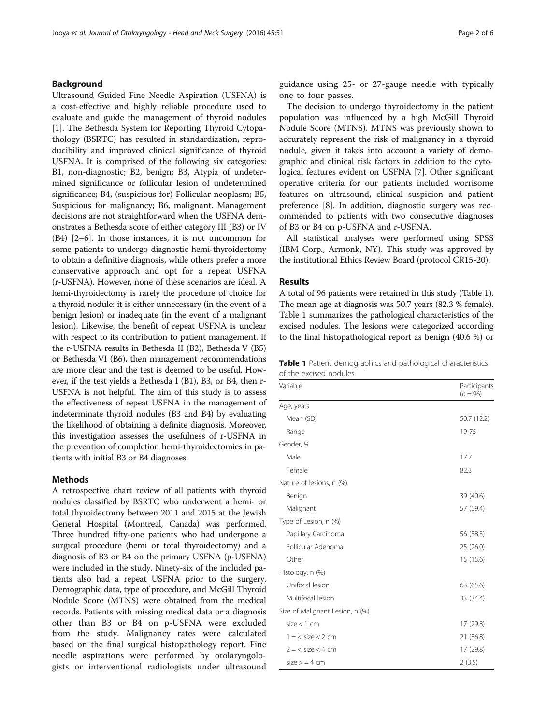# Background

Ultrasound Guided Fine Needle Aspiration (USFNA) is a cost-effective and highly reliable procedure used to evaluate and guide the management of thyroid nodules [[1\]](#page-4-0). The Bethesda System for Reporting Thyroid Cytopathology (BSRTC) has resulted in standardization, reproducibility and improved clinical significance of thyroid USFNA. It is comprised of the following six categories: B1, non-diagnostic; B2, benign; B3, Atypia of undetermined significance or follicular lesion of undetermined significance; B4, (suspicious for) Follicular neoplasm; B5, Suspicious for malignancy; B6, malignant. Management decisions are not straightforward when the USFNA demonstrates a Bethesda score of either category III (B3) or IV (B4) [\[2](#page-4-0)–[6\]](#page-4-0). In those instances, it is not uncommon for some patients to undergo diagnostic hemi-thyroidectomy to obtain a definitive diagnosis, while others prefer a more conservative approach and opt for a repeat USFNA (r-USFNA). However, none of these scenarios are ideal. A hemi-thyroidectomy is rarely the procedure of choice for a thyroid nodule: it is either unnecessary (in the event of a benign lesion) or inadequate (in the event of a malignant lesion). Likewise, the benefit of repeat USFNA is unclear with respect to its contribution to patient management. If the r-USFNA results in Bethesda II (B2), Bethesda V (B5) or Bethesda VI (B6), then management recommendations are more clear and the test is deemed to be useful. However, if the test yields a Bethesda I (B1), B3, or B4, then r-USFNA is not helpful. The aim of this study is to assess the effectiveness of repeat USFNA in the management of indeterminate thyroid nodules (B3 and B4) by evaluating the likelihood of obtaining a definite diagnosis. Moreover, this investigation assesses the usefulness of r-USFNA in the prevention of completion hemi-thyroidectomies in patients with initial B3 or B4 diagnoses.

### Methods

A retrospective chart review of all patients with thyroid nodules classified by BSRTC who underwent a hemi- or total thyroidectomy between 2011 and 2015 at the Jewish General Hospital (Montreal, Canada) was performed. Three hundred fifty-one patients who had undergone a surgical procedure (hemi or total thyroidectomy) and a diagnosis of B3 or B4 on the primary USFNA (p-USFNA) were included in the study. Ninety-six of the included patients also had a repeat USFNA prior to the surgery. Demographic data, type of procedure, and McGill Thyroid Nodule Score (MTNS) were obtained from the medical records. Patients with missing medical data or a diagnosis other than B3 or B4 on p-USFNA were excluded from the study. Malignancy rates were calculated based on the final surgical histopathology report. Fine needle aspirations were performed by otolaryngologists or interventional radiologists under ultrasound guidance using 25- or 27-gauge needle with typically one to four passes.

The decision to undergo thyroidectomy in the patient population was influenced by a high McGill Thyroid Nodule Score (MTNS). MTNS was previously shown to accurately represent the risk of malignancy in a thyroid nodule, given it takes into account a variety of demographic and clinical risk factors in addition to the cytological features evident on USFNA [\[7](#page-4-0)]. Other significant operative criteria for our patients included worrisome features on ultrasound, clinical suspicion and patient preference [\[8](#page-4-0)]. In addition, diagnostic surgery was recommended to patients with two consecutive diagnoses of B3 or B4 on p-USFNA and r-USFNA.

All statistical analyses were performed using SPSS (IBM Corp., Armonk, NY). This study was approved by the institutional Ethics Review Board (protocol CR15-20).

## Results

A total of 96 patients were retained in this study (Table 1). The mean age at diagnosis was 50.7 years (82.3 % female). Table 1 summarizes the pathological characteristics of the excised nodules. The lesions were categorized according to the final histopathological report as benign (40.6 %) or

|                        | Table 1 Patient demographics and pathological characteristics |  |  |
|------------------------|---------------------------------------------------------------|--|--|
| of the excised nodules |                                                               |  |  |

| Variable                        | Participants<br>$(n = 96)$ |
|---------------------------------|----------------------------|
| Age, years                      |                            |
| Mean (SD)                       | 50.7 (12.2)                |
| Range                           | 19-75                      |
| Gender, %                       |                            |
| Male                            | 17.7                       |
| Female                          | 82.3                       |
| Nature of lesions, n (%)        |                            |
| Benign                          | 39 (40.6)                  |
| Malignant                       | 57 (59.4)                  |
| Type of Lesion, n (%)           |                            |
| Papillary Carcinoma             | 56 (58.3)                  |
| Follicular Adenoma              | 25(26.0)                   |
| Other                           | 15 (15.6)                  |
| Histology, n (%)                |                            |
| Unifocal lesion                 | 63 (65.6)                  |
| Multifocal lesion               | 33 (34.4)                  |
| Size of Malignant Lesion, n (%) |                            |
| $size < 1$ cm                   | 17 (29.8)                  |
| $1 = <$ size $<$ 2 cm           | 21 (36.8)                  |
| $2 = <$ size $<$ 4 cm           | 17 (29.8)                  |
| $size$ = 4 cm                   | 2(3.5)                     |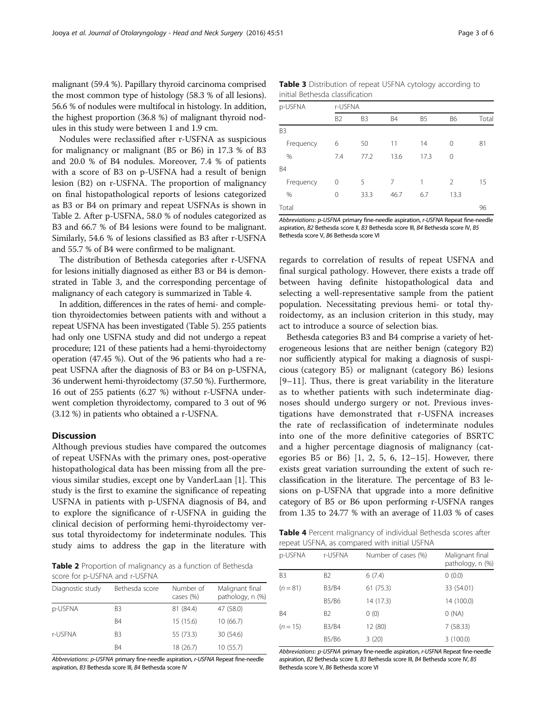malignant (59.4 %). Papillary thyroid carcinoma comprised the most common type of histology (58.3 % of all lesions). 56.6 % of nodules were multifocal in histology. In addition, the highest proportion (36.8 %) of malignant thyroid nodules in this study were between 1 and 1.9 cm.

Nodules were reclassified after r-USFNA as suspicious for malignancy or malignant (B5 or B6) in 17.3 % of B3 and 20.0 % of B4 nodules. Moreover, 7.4 % of patients with a score of B3 on p-USFNA had a result of benign lesion (B2) on r-USFNA. The proportion of malignancy on final histopathological reports of lesions categorized as B3 or B4 on primary and repeat USFNAs is shown in Table 2. After p-USFNA, 58.0 % of nodules categorized as B3 and 66.7 % of B4 lesions were found to be malignant. Similarly, 54.6 % of lesions classified as B3 after r-USFNA and 55.7 % of B4 were confirmed to be malignant.

The distribution of Bethesda categories after r-USFNA for lesions initially diagnosed as either B3 or B4 is demonstrated in Table 3, and the corresponding percentage of malignancy of each category is summarized in Table 4.

In addition, differences in the rates of hemi- and completion thyroidectomies between patients with and without a repeat USFNA has been investigated (Table [5\)](#page-3-0). 255 patients had only one USFNA study and did not undergo a repeat procedure; 121 of these patients had a hemi-thyroidectomy operation (47.45 %). Out of the 96 patients who had a repeat USFNA after the diagnosis of B3 or B4 on p-USFNA, 36 underwent hemi-thyroidectomy (37.50 %). Furthermore, 16 out of 255 patients (6.27 %) without r-USFNA underwent completion thyroidectomy, compared to 3 out of 96 (3.12 %) in patients who obtained a r-USFNA.

# **Discussion**

Although previous studies have compared the outcomes of repeat USFNAs with the primary ones, post-operative histopathological data has been missing from all the previous similar studies, except one by VanderLaan [\[1](#page-4-0)]. This study is the first to examine the significance of repeating USFNA in patients with p-USFNA diagnosis of B4, and to explore the significance of r-USFNA in guiding the clinical decision of performing hemi-thyroidectomy versus total thyroidectomy for indeterminate nodules. This study aims to address the gap in the literature with

Table 2 Proportion of malignancy as a function of Bethesda score for p-USFNA and r-USFNA

| Diagnostic study | Bethesda score | Number of<br>cases (%) | Malignant final<br>pathology, n (%) |
|------------------|----------------|------------------------|-------------------------------------|
| p-USFNA          | B3             | 81 (84.4)              | 47 (58.0)                           |
|                  | B <sub>4</sub> | 15 (15.6)              | 10(66.7)                            |
| r-USFNA          | B <sub>3</sub> | 55 (73.3)              | 30 (54.6)                           |
|                  | B4             | 18 (26.7)              | 10(55.7)                            |

Abbreviations: p-USFNA primary fine-needle aspiration, r-USFNA Repeat fine-needle aspiration, B3 Bethesda score III, B4 Bethesda score IV

Table 3 Distribution of repeat USFNA cytology according to initial Bethesda classification

| p-USFNA        | r-USFNA        |                |           |                |           |       |
|----------------|----------------|----------------|-----------|----------------|-----------|-------|
|                | B <sub>2</sub> | B <sub>3</sub> | <b>B4</b> | B <sub>5</sub> | <b>B6</b> | Total |
| B <sub>3</sub> |                |                |           |                |           |       |
| Frequency      | 6              | 50             | 11        | 14             | 0         | 81    |
| %              | 7.4            | 77.2           | 13.6      | 17.3           | 0         |       |
| <b>B4</b>      |                |                |           |                |           |       |
| Frequency      | 0              | 5              | 7         | 1              | 2         | 15    |
| %              | 0              | 33.3           | 46.7      | 6.7            | 13.3      |       |
| Total          |                |                |           |                |           | 96    |

Abbreviations: p-USFNA primary fine-needle aspiration, r-USFNA Repeat fine-needle aspiration, B2 Bethesda score II, B3 Bethesda score III, B4 Bethesda score IV, B5 Bethesda score V, B6 Bethesda score VI

regards to correlation of results of repeat USFNA and final surgical pathology. However, there exists a trade off between having definite histopathological data and selecting a well-representative sample from the patient population. Necessitating previous hemi- or total thyroidectomy, as an inclusion criterion in this study, may act to introduce a source of selection bias.

Bethesda categories B3 and B4 comprise a variety of heterogeneous lesions that are neither benign (category B2) nor sufficiently atypical for making a diagnosis of suspicious (category B5) or malignant (category B6) lesions [[9](#page-4-0)–[11](#page-4-0)]. Thus, there is great variability in the literature as to whether patients with such indeterminate diagnoses should undergo surgery or not. Previous investigations have demonstrated that r-USFNA increases the rate of reclassification of indeterminate nodules into one of the more definitive categories of BSRTC and a higher percentage diagnosis of malignancy (categories B5 or B6) [[1, 2, 5, 6, 12](#page-4-0)–[15\]](#page-4-0). However, there exists great variation surrounding the extent of such reclassification in the literature. The percentage of B3 lesions on p-USFNA that upgrade into a more definitive category of B5 or B6 upon performing r-USFNA ranges from 1.35 to 24.77 % with an average of 11.03 % of cases

Table 4 Percent malignancy of individual Bethesda scores after repeat USFNA, as compared with initial USFNA

| p-USFNA        | r-USFNA        | Number of cases (%) | Malignant final<br>pathology, n (%) |
|----------------|----------------|---------------------|-------------------------------------|
| B <sub>3</sub> | B <sub>2</sub> | 6(7.4)              | 0(0.0)                              |
| $(n = 81)$     | <b>B3/B4</b>   | 61(75.3)            | 33 (54.01)                          |
|                | <b>B5/B6</b>   | 14 (17.3)           | 14 (100.0)                          |
| B4             | B <sub>2</sub> | 0(0)                | O(NA)                               |
| $(n = 15)$     | <b>B3/B4</b>   | 12 (80)             | 7(58.33)                            |
|                | <b>B5/B6</b>   | 3(20)               | 3(100.0)                            |

Abbreviations: p-USFNA primary fine-needle aspiration, r-USFNA Repeat fine-needle aspiration, B2 Bethesda score II, B3 Bethesda score III, B4 Bethesda score IV, B5 Bethesda score V, B6 Bethesda score VI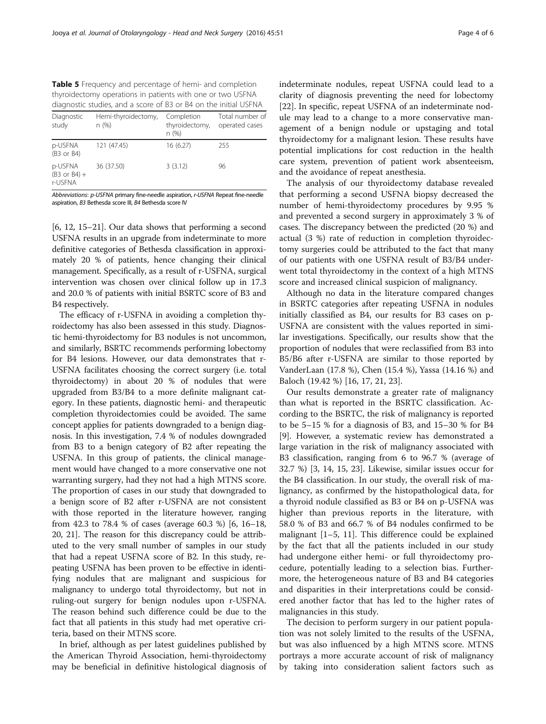<span id="page-3-0"></span>Table 5 Frequency and percentage of hemi- and completion thyroidectomy operations in patients with one or two USFNA diagnostic studies, and a score of B3 or B4 on the initial USFNA

| and gridden a stadiol farita and society of the second results in the minimum of $\sim$ |                              |                                      |                                   |  |
|-----------------------------------------------------------------------------------------|------------------------------|--------------------------------------|-----------------------------------|--|
| Diagnostic<br>study                                                                     | Hemi-thyroidectomy,<br>n (%) | Completion<br>thyroidectomy,<br>n(%) | Total number of<br>operated cases |  |
| p-USFNA<br>$(B3$ or $B4)$                                                               | 121 (47.45)                  | 16(6.27)                             | 255                               |  |
| p-USFNA<br>$(B3$ or $B4$ ) +<br>r-USFNA                                                 | 36 (37.50)                   | 3(3.12)                              | 96                                |  |

Abbreviations: p-USFNA primary fine-needle aspiration, r-USFNA Repeat fine-needle aspiration, B3 Bethesda score III, B4 Bethesda score IV

[[6, 12, 15](#page-4-0)–[21](#page-5-0)]. Our data shows that performing a second USFNA results in an upgrade from indeterminate to more definitive categories of Bethesda classification in approximately 20 % of patients, hence changing their clinical management. Specifically, as a result of r-USFNA, surgical intervention was chosen over clinical follow up in 17.3 and 20.0 % of patients with initial BSRTC score of B3 and B4 respectively.

The efficacy of r-USFNA in avoiding a completion thyroidectomy has also been assessed in this study. Diagnostic hemi-thyroidectomy for B3 nodules is not uncommon, and similarly, BSRTC recommends performing lobectomy for B4 lesions. However, our data demonstrates that r-USFNA facilitates choosing the correct surgery (i.e. total thyroidectomy) in about 20 % of nodules that were upgraded from B3/B4 to a more definite malignant category. In these patients, diagnostic hemi- and therapeutic completion thyroidectomies could be avoided. The same concept applies for patients downgraded to a benign diagnosis. In this investigation, 7.4 % of nodules downgraded from B3 to a benign category of B2 after repeating the USFNA. In this group of patients, the clinical management would have changed to a more conservative one not warranting surgery, had they not had a high MTNS score. The proportion of cases in our study that downgraded to a benign score of B2 after r-USFNA are not consistent with those reported in the literature however, ranging from 42.3 to 78.4 % of cases (average 60.3 %) [[6](#page-4-0), [16](#page-4-0)–[18](#page-4-0), [20](#page-4-0), [21\]](#page-5-0). The reason for this discrepancy could be attributed to the very small number of samples in our study that had a repeat USFNA score of B2. In this study, repeating USFNA has been proven to be effective in identifying nodules that are malignant and suspicious for malignancy to undergo total thyroidectomy, but not in ruling-out surgery for benign nodules upon r-USFNA. The reason behind such difference could be due to the fact that all patients in this study had met operative criteria, based on their MTNS score.

In brief, although as per latest guidelines published by the American Thyroid Association, hemi-thyroidectomy may be beneficial in definitive histological diagnosis of indeterminate nodules, repeat USFNA could lead to a clarity of diagnosis preventing the need for lobectomy [[22\]](#page-5-0). In specific, repeat USFNA of an indeterminate nodule may lead to a change to a more conservative management of a benign nodule or upstaging and total thyroidectomy for a malignant lesion. These results have potential implications for cost reduction in the health care system, prevention of patient work absenteeism, and the avoidance of repeat anesthesia.

The analysis of our thyroidectomy database revealed that performing a second USFNA biopsy decreased the number of hemi-thyroidectomy procedures by 9.95 % and prevented a second surgery in approximately 3 % of cases. The discrepancy between the predicted (20 %) and actual (3 %) rate of reduction in completion thyroidectomy surgeries could be attributed to the fact that many of our patients with one USFNA result of B3/B4 underwent total thyroidectomy in the context of a high MTNS score and increased clinical suspicion of malignancy.

Although no data in the literature compared changes in BSRTC categories after repeating USFNA in nodules initially classified as B4, our results for B3 cases on p-USFNA are consistent with the values reported in similar investigations. Specifically, our results show that the proportion of nodules that were reclassified from B3 into B5/B6 after r-USFNA are similar to those reported by VanderLaan (17.8 %), Chen (15.4 %), Yassa (14.16 %) and Baloch (19.42 %) [\[16](#page-4-0), [17](#page-4-0), [21](#page-5-0), [23\]](#page-5-0).

Our results demonstrate a greater rate of malignancy than what is reported in the BSRTC classification. According to the BSRTC, the risk of malignancy is reported to be 5–15 % for a diagnosis of B3, and 15–30 % for B4 [[9\]](#page-4-0). However, a systematic review has demonstrated a large variation in the risk of malignancy associated with B3 classification, ranging from 6 to 96.7 % (average of 32.7 %) [[3, 14](#page-4-0), [15](#page-4-0), [23\]](#page-5-0). Likewise, similar issues occur for the B4 classification. In our study, the overall risk of malignancy, as confirmed by the histopathological data, for a thyroid nodule classified as B3 or B4 on p-USFNA was higher than previous reports in the literature, with 58.0 % of B3 and 66.7 % of B4 nodules confirmed to be malignant [[1](#page-4-0)–[5](#page-4-0), [11](#page-4-0)]. This difference could be explained by the fact that all the patients included in our study had undergone either hemi- or full thyroidectomy procedure, potentially leading to a selection bias. Furthermore, the heterogeneous nature of B3 and B4 categories and disparities in their interpretations could be considered another factor that has led to the higher rates of malignancies in this study.

The decision to perform surgery in our patient population was not solely limited to the results of the USFNA, but was also influenced by a high MTNS score. MTNS portrays a more accurate account of risk of malignancy by taking into consideration salient factors such as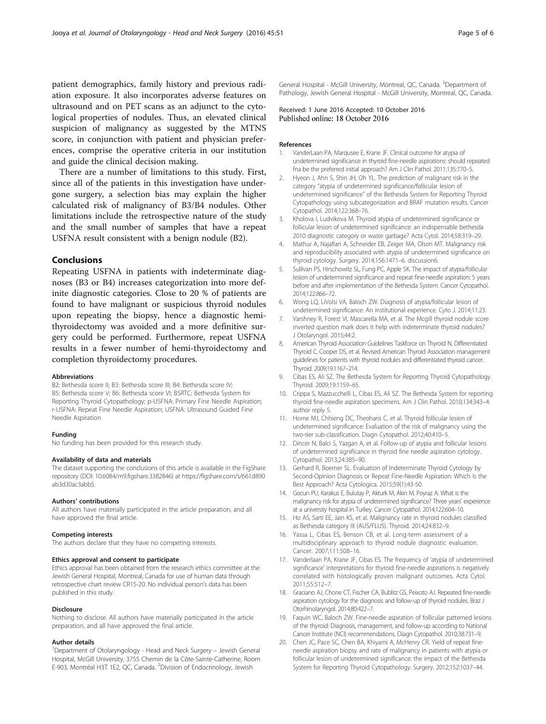<span id="page-4-0"></span>patient demographics, family history and previous radiation exposure. It also incorporates adverse features on ultrasound and on PET scans as an adjunct to the cytological properties of nodules. Thus, an elevated clinical suspicion of malignancy as suggested by the MTNS score, in conjunction with patient and physician preferences, comprise the operative criteria in our institution and guide the clinical decision making.

There are a number of limitations to this study. First, since all of the patients in this investigation have undergone surgery, a selection bias may explain the higher calculated risk of malignancy of B3/B4 nodules. Other limitations include the retrospective nature of the study and the small number of samples that have a repeat USFNA result consistent with a benign nodule (B2).

# Conclusions

Repeating USFNA in patients with indeterminate diagnoses (B3 or B4) increases categorization into more definite diagnostic categories. Close to 20 % of patients are found to have malignant or suspicious thyroid nodules upon repeating the biopsy, hence a diagnostic hemithyroidectomy was avoided and a more definitive surgery could be performed. Furthermore, repeat USFNA results in a fewer number of hemi-thyroidectomy and completion thyroidectomy procedures.

#### Abbreviations

B2: Bethesda score II; B3: Bethesda score III; B4: Bethesda score IV; B5: Bethesda score V; B6: Bethesda score VI; BSRTC: Bethesda System for Reporting Thyroid Cytopathology; p-USFNA: Primary Fine Needle Aspiration; r-USFNA: Repeat Fine Needle Aspiration; USFNA: Ultrasound Guided Fine Needle Aspiration

#### Funding

No funding has been provided for this research study.

#### Availability of data and materials

The dataset supporting the conclusions of this article is available in the FigShare repository (DOI: [10.6084/m9.figshare.3382846](http://dx.doi.org/10.6084/m9.figshare.3382846)) at [https://figshare.com/s/661d890](https://figshare.com/s/661d890ab3d30ac3abb5) [ab3d30ac3abb5](https://figshare.com/s/661d890ab3d30ac3abb5).

#### Authors' contributions

All authors have materially participated in the article preparation, and all have approved the final article.

#### Competing interests

The authors declare that they have no competing interests.

#### Ethics approval and consent to participate

Ethics approval has been obtained from the research ethics committee at the Jewish General Hospital, Montreal, Canada for use of human data through retrospective chart review CR15-20. No individual person's data has been published in this study.

#### Disclosure

Nothing to disclose. All authors have materially participated in the article preparation, and all have approved the final article.

#### Author details

<sup>1</sup>Department of Otolaryngology - Head and Neck Surgery – Jewish General Hospital, McGill University, 3755 Chemin de la Côte-Sainte-Catherine, Room E-903, Montréal H3T 1E2, QC, Canada. <sup>2</sup>Division of Endocrinology, Jewish

General Hospital - McGill University, Montreal, QC, Canada. <sup>3</sup>Department of Pathology, Jewish General Hospital - McGill University, Montreal, QC, Canada.

## Received: 1 June 2016 Accepted: 10 October 2016 Published online: 18 October 2016

#### References

- 1. VanderLaan PA, Marqusee E, Krane, JF. Clinical outcome for atypia of undetermined significance in thyroid fine-needle aspirations: should repeated fna be the preferred initial approach? Am J Clin Pathol. 2011;135:770–5.
- 2. Hyeon J, Ahn S, Shin JH, Oh YL. The prediction of malignant risk in the category "atypia of undetermined significance/follicular lesion of undetermined significance" of the Bethesda System for Reporting Thyroid Cytopathology using subcategorization and BRAF mutation results. Cancer Cytopathol. 2014;122:368–76.
- 3. Kholova I, Ludvikova M. Thyroid atypia of undetermined significance or follicular lesion of undetermined significance: an indispensable bethesda 2010 diagnostic category or waste garbage? Acta Cytol. 2014;58:319–29.
- 4. Mathur A, Najafian A, Schneider EB, Zeiger MA, Olson MT. Malignancy risk and reproducibility associated with atypia of undetermined significance on thyroid cytology. Surgery. 2014;156:1471–6. discussion6.
- 5. Sullivan PS, Hirschowitz SL, Fung PC, Apple SK. The impact of atypia/follicular lesion of undetermined significance and repeat fine-needle aspiration: 5 years before and after implementation of the Bethesda System. Cancer Cytopathol. 2014;122:866–72.
- 6. Wong LQ, LiVolsi VA, Baloch ZW. Diagnosis of atypia/follicular lesion of undetermined significance: An institutional experience. Cyto J. 2014;11:23.
- 7. Varshney R, Forest VI, Mascarella MA, et al. The Mcgill thyroid nodule score inverted question mark does it help with indeterminate thyroid nodules? J Otolaryngol. 2015;44:2.
- 8. American Thyroid Association Guidelines Taskforce on Thyroid N, Differentiated Thyroid C, Cooper DS, et al. Revised American Thyroid Association management guidelines for patients with thyroid nodules and differentiated thyroid cancer. Thyroid. 2009;19:1167–214.
- 9. Cibas ES, Ali SZ. The Bethesda System for Reporting Thyroid Cytopathology. Thyroid. 2009;19:1159–65.
- 10. Crippa S, Mazzucchelli L, Cibas ES, Ali SZ. The Bethesda System for reporting thyroid fine-needle aspiration specimens. Am J Clin Pathol. 2010;134:343–4. author reply 5
- 11. Horne MJ, Chhieng DC, Theoharis C, et al. Thyroid follicular lesion of undetermined significance: Evaluation of the risk of malignancy using the two-tier sub-classification. Diagn Cytopathol. 2012;40:410–5.
- 12. Dincer N, Balci S, Yazgan A, et al. Follow-up of atypia and follicular lesions of undetermined significance in thyroid fine needle aspiration cytology. Cytopathol. 2013;24:385–90.
- 13. Gerhard R, Boerner SL. Evaluation of Indeterminate Thyroid Cytology by Second-Opinion Diagnosis or Repeat Fine-Needle Aspiration: Which Is the Best Approach? Acta Cytologica. 2015;59(1):43-50.
- 14. Gocun PU, Karakus E, Bulutay P, Akturk M, Akin M, Poyraz A. What is the malignancy risk for atypia of undetermined significance? Three years' experience at a university hospital in Turkey. Cancer Cytopathol. 2014;122:604–10.
- 15. Ho AS, Sarti EE, Jain KS, et al. Malignancy rate in thyroid nodules classified as Bethesda category III (AUS/FLUS). Thyroid. 2014;24:832–9.
- 16. Yassa L, Cibas ES, Benson CB, et al. Long-term assessment of a multidisciplinary approach to thyroid nodule diagnostic evaluation. Cancer. 2007;111:508–16.
- 17. Vanderlaan PA, Krane JF, Cibas ES. The frequency of 'atypia of undetermined significance' interpretations for thyroid fine-needle aspirations is negatively correlated with histologically proven malignant outcomes. Acta Cytol. 2011;55:512–7.
- 18. Graciano AJ, Chone CT, Fischer CA, Bublitz GS, Peixoto AJ. Repeated fine-needle aspiration cytology for the diagnosis and follow-up of thyroid nodules. Braz J Otorhinolaryngol. 2014;80:422–7.
- 19. Faquin WC, Baloch ZW. Fine-needle aspiration of follicular patterned lesions of the thyroid: Diagnosis, management, and follow-up according to National Cancer Institute (NCI) recommendations. Diagn Cytopathol. 2010;38:731–9.
- 20. Chen JC, Pace SC, Chen BA, Khiyami A, McHenry CR. Yield of repeat fineneedle aspiration biopsy and rate of malignancy in patients with atypia or follicular lesion of undetermined significance: the impact of the Bethesda System for Reporting Thyroid Cytopathology. Surgery. 2012;152:1037–44.